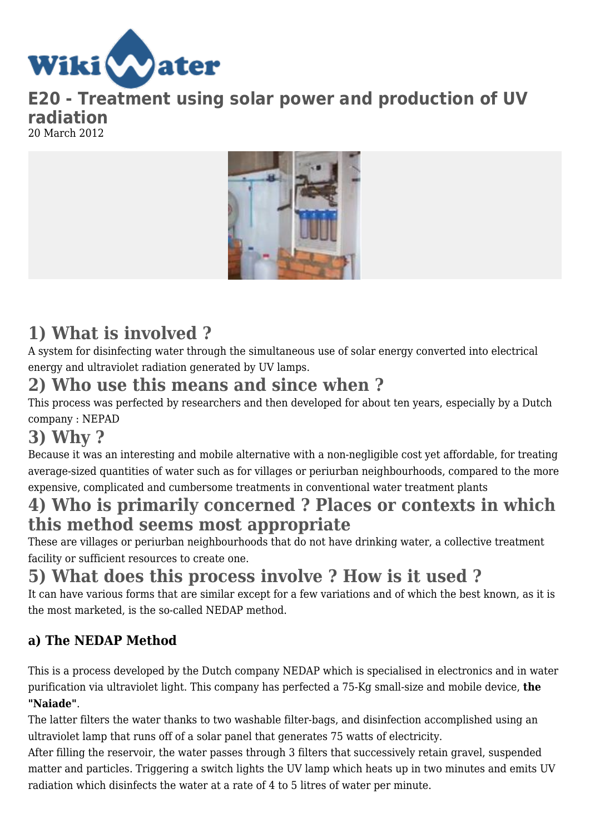

**E20 - Treatment using solar power and production of UV radiation** 20 March 2012



# **1) What is involved ?**

A system for disinfecting water through the simultaneous use of solar energy converted into electrical energy and ultraviolet radiation generated by UV lamps.

# **2) Who use this means and since when ?**

This process was perfected by researchers and then developed for about ten years, especially by a Dutch company : NEPAD

# **3) Why ?**

Because it was an interesting and mobile alternative with a non-negligible cost yet affordable, for treating average-sized quantities of water such as for villages or periurban neighbourhoods, compared to the more expensive, complicated and cumbersome treatments in conventional water treatment plants

## **4) Who is primarily concerned ? Places or contexts in which this method seems most appropriate**

These are villages or periurban neighbourhoods that do not have drinking water, a collective treatment facility or sufficient resources to create one.

# **5) What does this process involve ? How is it used ?**

It can have various forms that are similar except for a few variations and of which the best known, as it is the most marketed, is the so-called NEDAP method.

## **a) The NEDAP Method**

This is a process developed by the Dutch company NEDAP which is specialised in electronics and in water purification via ultraviolet light. This company has perfected a 75-Kg small-size and mobile device, **the "Naiade"**.

The latter filters the water thanks to two washable filter-bags, and disinfection accomplished using an ultraviolet lamp that runs off of a solar panel that generates 75 watts of electricity.

After filling the reservoir, the water passes through 3 filters that successively retain gravel, suspended matter and particles. Triggering a switch lights the UV lamp which heats up in two minutes and emits UV radiation which disinfects the water at a rate of 4 to 5 litres of water per minute.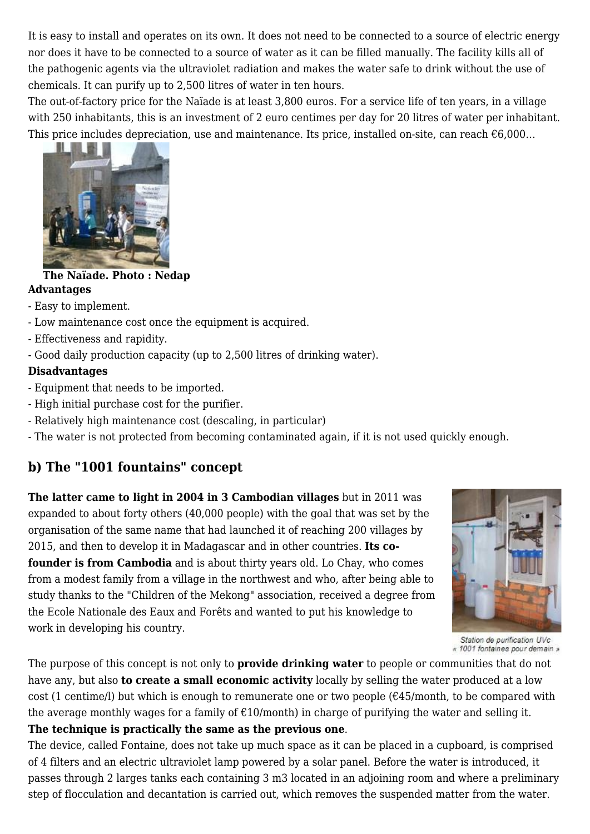It is easy to install and operates on its own. It does not need to be connected to a source of electric energy nor does it have to be connected to a source of water as it can be filled manually. The facility kills all of the pathogenic agents via the ultraviolet radiation and makes the water safe to drink without the use of chemicals. It can purify up to 2,500 litres of water in ten hours.

The out-of-factory price for the Naïade is at least 3,800 euros. For a service life of ten years, in a village with 250 inhabitants, this is an investment of 2 euro centimes per day for 20 litres of water per inhabitant. This price includes depreciation, use and maintenance. Its price, installed on-site, can reach  $\epsilon$ 6,000...



#### **The Naïade. Photo : Nedap Advantages**

#### - Easy to implement.

- Low maintenance cost once the equipment is acquired.
- Effectiveness and rapidity.
- Good daily production capacity (up to 2,500 litres of drinking water).

#### **Disadvantages**

- Equipment that needs to be imported.
- High initial purchase cost for the purifier.
- Relatively high maintenance cost (descaling, in particular)
- The water is not protected from becoming contaminated again, if it is not used quickly enough.

### **b) The "1001 fountains" concept**

**The latter came to light in 2004 in 3 Cambodian villages** but in 2011 was expanded to about forty others (40,000 people) with the goal that was set by the organisation of the same name that had launched it of reaching 200 villages by 2015, and then to develop it in Madagascar and in other countries. **Its cofounder is from Cambodia** and is about thirty years old. Lo Chay, who comes from a modest family from a village in the northwest and who, after being able to study thanks to the "Children of the Mekong" association, received a degree from the Ecole Nationale des Eaux and Forêts and wanted to put his knowledge to work in developing his country.



Station de purification UVc « 1001 fontaines pour demain »

The purpose of this concept is not only to **provide drinking water** to people or communities that do not have any, but also **to create a small economic activity** locally by selling the water produced at a low cost (1 centime/l) but which is enough to remunerate one or two people  $(\text{\textsterling}45/month)$ , to be compared with the average monthly wages for a family of  $\epsilon$ 10/month) in charge of purifying the water and selling it. **The technique is practically the same as the previous one**.

The device, called Fontaine, does not take up much space as it can be placed in a cupboard, is comprised of 4 filters and an electric ultraviolet lamp powered by a solar panel. Before the water is introduced, it passes through 2 larges tanks each containing 3 m3 located in an adjoining room and where a preliminary step of flocculation and decantation is carried out, which removes the suspended matter from the water.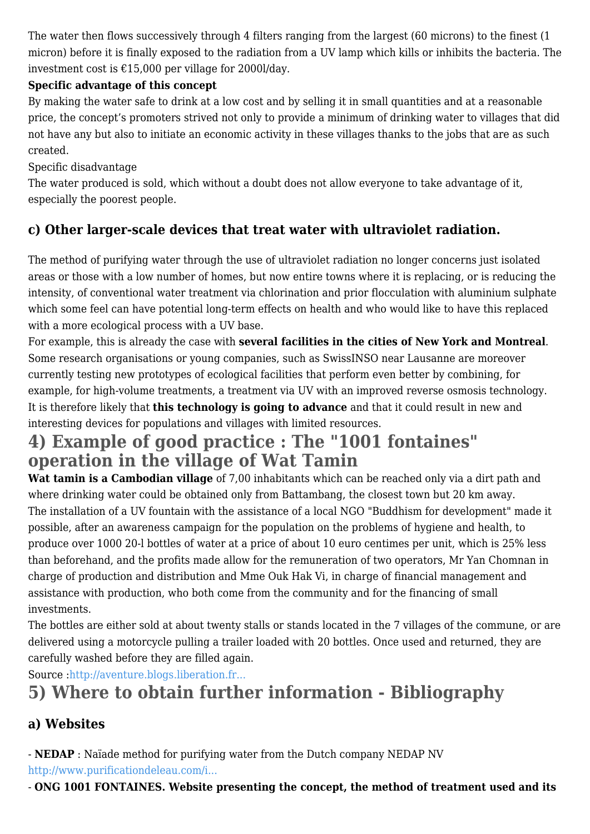The water then flows successively through 4 filters ranging from the largest (60 microns) to the finest (1 micron) before it is finally exposed to the radiation from a UV lamp which kills or inhibits the bacteria. The investment cost is  $£15,000$  per village for 2000l/day.

#### **Specific advantage of this concept**

By making the water safe to drink at a low cost and by selling it in small quantities and at a reasonable price, the concept's promoters strived not only to provide a minimum of drinking water to villages that did not have any but also to initiate an economic activity in these villages thanks to the jobs that are as such created.

#### Specific disadvantage

The water produced is sold, which without a doubt does not allow everyone to take advantage of it, especially the poorest people.

## **c) Other larger-scale devices that treat water with ultraviolet radiation.**

The method of purifying water through the use of ultraviolet radiation no longer concerns just isolated areas or those with a low number of homes, but now entire towns where it is replacing, or is reducing the intensity, of conventional water treatment via chlorination and prior flocculation with aluminium sulphate which some feel can have potential long-term effects on health and who would like to have this replaced with a more ecological process with a UV base.

For example, this is already the case with **several facilities in the cities of New York and Montreal**. Some research organisations or young companies, such as SwissINSO near Lausanne are moreover currently testing new prototypes of ecological facilities that perform even better by combining, for example, for high-volume treatments, a treatment via UV with an improved reverse osmosis technology. It is therefore likely that **this technology is going to advance** and that it could result in new and interesting devices for populations and villages with limited resources.

## **4) Example of good practice : The "1001 fontaines" operation in the village of Wat Tamin**

**Wat tamin is a Cambodian village** of 7,00 inhabitants which can be reached only via a dirt path and where drinking water could be obtained only from Battambang, the closest town but 20 km away. The installation of a UV fountain with the assistance of a local NGO "Buddhism for development" made it possible, after an awareness campaign for the population on the problems of hygiene and health, to produce over 1000 20-l bottles of water at a price of about 10 euro centimes per unit, which is 25% less than beforehand, and the profits made allow for the remuneration of two operators, Mr Yan Chomnan in charge of production and distribution and Mme Ouk Hak Vi, in charge of financial management and assistance with production, who both come from the community and for the financing of small investments.

The bottles are either sold at about twenty stalls or stands located in the 7 villages of the commune, or are delivered using a motorcycle pulling a trailer loaded with 20 bottles. Once used and returned, they are carefully washed before they are filled again.

Source [:http://aventure.blogs.liberation.fr...](http://aventure.blogs.liberation.fr/eautour_du_monde/2007/10/5--economie-dur.html)

# **5) Where to obtain further information - Bibliography**

## **a) Websites**

- **NEDAP** : Naïade method for purifying water from the Dutch company NEDAP NV [http://www.purificationdeleau.com/i...](http://www.purificationdeleau.com/index.php)

- **ONG 1001 FONTAINES. Website presenting the concept, the method of treatment used and its**